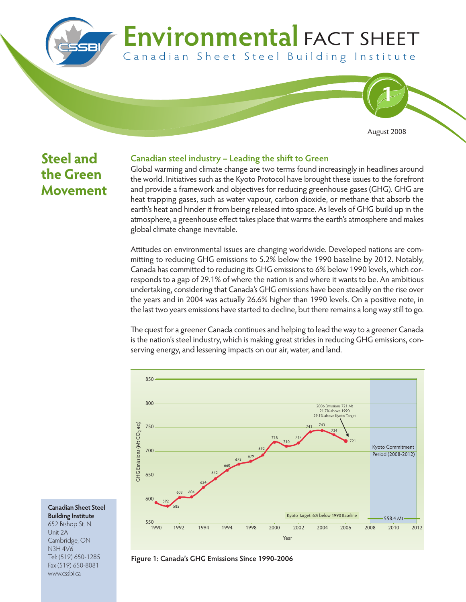# **Environmental FACT SHEET** Canadian Sheet Steel Building Institute



## **Steel and the Green Movement**

### **Canadian steel industry - Leading the shift to Green**

Global warming and climate change are two terms found increasingly in headlines around the world. Initiatives such as the Kyoto Protocol have brought these issues to the forefront and provide a framework and objectives for reducing greenhouse gases (GHG). GHG are heat trapping gases, such as water vapour, carbon dioxide, or methane that absorb the earth's heat and hinder it from being released into space. As levels of GHG build up in the atmosphere, a greenhouse effect takes place that warms the earth's atmosphere and makes global climate change inevitable.

Attitudes on environmental issues are changing worldwide. Developed nations are committing to reducing GHG emissions to 5.2% below the 1990 baseline by 2012. Notably, Canada has committed to reducing its GHG emissions to 6% below 1990 levels, which corresponds to a gap of 29.1% of where the nation is and where it wants to be. An ambitious undertaking, considering that Canada's GHG emissions have been steadily on the rise over the years and in 2004 was actually 26.6% higher than 1990 levels. On a positive note, in the last two years emissions have started to decline, but there remains a long way still to go.

The quest for a greener Canada continues and helping to lead the way to a greener Canada is the nation's steel industry, which is making great strides in reducing GHG emissions, conserving energy, and lessening impacts on our air, water, and land.



**Canadian Sheet Steel Building Institute** 652 Bishop St. N. Unit 2A Cambridge, ON N3H 4V6 Tel: (519) 650-1285 Fax (519) 650-8081 www.cssbi.ca

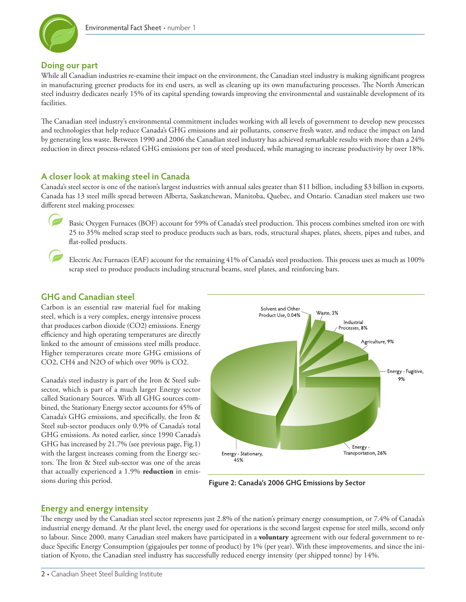

#### **Doing our part**

While all Canadian industries re-examine their impact on the environment, the Canadian steel industry is making significant progress in manufacturing greener products for its end users, as well as cleaning up its own manufacturing processes. The North American steel industry dedicates nearly 15% of its capital spending towards improving the environmental and sustainable development of its facilities.

e Canadian steel industry's environmental commitment includes working with all levels of government to develop new processes and technologies that help reduce Canada's GHG emissions and air pollutants, conserve fresh water, and reduce the impact on land by generating less waste. Between 1990 and 2006 the Canadian steel industry has achieved remarkable results with more than a 24% reduction in direct process-related GHG emissions per ton of steel produced, while managing to increase productivity by over 18%.

#### **A closer look at making steel in Canada**

Canada's steel sector is one of the nation's largest industries with annual sales greater than \$11 billion, including \$3 billion in exports. Canada has 13 steel mills spread between Alberta, Saskatchewan, Manitoba, Quebec, and Ontario. Canadian steel makers use two different steel making processes:

Basic Oxygen Furnaces (BOF) account for 59% of Canada's steel production. This process combines smelted iron ore with 25 to 35% melted scrap steel to produce products such as bars, rods, structural shapes, plates, sheets, pipes and tubes, and flat-rolled products.

Electric Arc Furnaces (EAF) account for the remaining 41% of Canada's steel production. This process uses as much as 100% scrap steel to produce products including structural beams, steel plates, and reinforcing bars.

#### **GHG and Canadian steel**

 $\overline{\phantom{a}}$ 

Carbon is an essential raw material fuel for making steel, which is a very complex, energy intensive process that produces carbon dioxide (CO2) emissions. Energy efficiency and high operating temperatures are directly linked to the amount of emissions steel mills produce. Higher temperatures create more GHG emissions of CO2, CH4 and N2O of which over 90% is CO2.

Canada's steel industry is part of the Iron & Steel subsector, which is part of a much larger Energy sector called Stationary Sources. With all GHG sources combined, the Stationary Energy sector accounts for 45% of Canada's GHG emissions, and specifically, the Iron & Steel sub-sector produces only 0.9% of Canada's total GHG emissions. As noted earlier, since 1990 Canada's GHG has increased by 21.7% (see previous page, Fig.1) with the largest increases coming from the Energy sectors. The Iron & Steel sub-sector was one of the areas that actually experienced a 1.9% **reduction** in emissions during this period.



**Figure 2: Canada's 2006 GHG Emissions by Sector**

#### **Energy and energy intensity**

e energy used by the Canadian steel sector represents just 2.8% of the nation's primary energy consumption, or 7.4% of Canada's industrial energy demand. At the plant level, the energy used for operations is the second largest expense for steel mills, second only to labour. Since 2000, many Canadian steel makers have participated in a **voluntary** agreement with our federal government to reduce Specific Energy Consumption (gigajoules per tonne of product) by 1% (per year). With these improvements, and since the initiation of Kyoto, the Canadian steel industry has successfully reduced energy intensity (per shipped tonne) by 14%.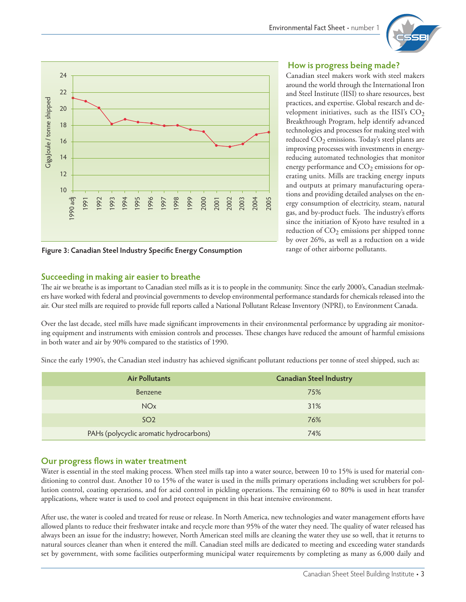



**Figure 3: Canadian Steel Industry Speci5c Energy Consumption**

### **How is progress being made?**

Canadian steel makers work with steel makers around the world through the International Iron and Steel Institute (IISI) to share resources, best practices, and expertise. Global research and development initiatives, such as the IISI's  $CO<sub>2</sub>$ Breakthrough Program, help identify advanced technologies and processes for making steel with reduced  $CO<sub>2</sub>$  emissions. Today's steel plants are improving processes with investments in energyreducing automated technologies that monitor energy performance and  $CO<sub>2</sub>$  emissions for operating units. Mills are tracking energy inputs and outputs at primary manufacturing operations and providing detailed analyses on the energy consumption of electricity, steam, natural gas, and by-product fuels. The industry's efforts since the initiation of Kyoto have resulted in a reduction of  $CO<sub>2</sub>$  emissions per shipped tonne by over 26%, as well as a reduction on a wide range of other airborne pollutants.

#### **Succeeding in making air easier to breathe**

The air we breathe is as important to Canadian steel mills as it is to people in the community. Since the early 2000's, Canadian steelmakers have worked with federal and provincial governments to develop environmental performance standards for chemicals released into the air. Our steel mills are required to provide full reports called a National Pollutant Release Inventory (NPRI), to Environment Canada.

Over the last decade, steel mills have made significant improvements in their environmental performance by upgrading air monitoring equipment and instruments with emission controls and processes. These changes have reduced the amount of harmful emissions in both water and air by 90% compared to the statistics of 1990.

Since the early 1990's, the Canadian steel industry has achieved significant pollutant reductions per tonne of steel shipped, such as:

| <b>Air Pollutants</b>                   | <b>Canadian Steel Industry</b> |
|-----------------------------------------|--------------------------------|
| Benzene                                 | 75%                            |
| <b>NOx</b>                              | 31%                            |
| SO <sub>2</sub>                         | 76%                            |
| PAHs (polycyclic aromatic hydrocarbons) | 74%                            |

#### **Our progress flows in water treatment**

Water is essential in the steel making process. When steel mills tap into a water source, between 10 to 15% is used for material conditioning to control dust. Another 10 to 15% of the water is used in the mills primary operations including wet scrubbers for pollution control, coating operations, and for acid control in pickling operations. The remaining 60 to 80% is used in heat transfer applications, where water is used to cool and protect equipment in this heat intensive environment.

After use, the water is cooled and treated for reuse or release. In North America, new technologies and water management efforts have allowed plants to reduce their freshwater intake and recycle more than 95% of the water they need. The quality of water released has always been an issue for the industry; however, North American steel mills are cleaning the water they use so well, that it returns to natural sources cleaner than when it entered the mill. Canadian steel mills are dedicated to meeting and exceeding water standards set by government, with some facilities outperforming municipal water requirements by completing as many as 6,000 daily and